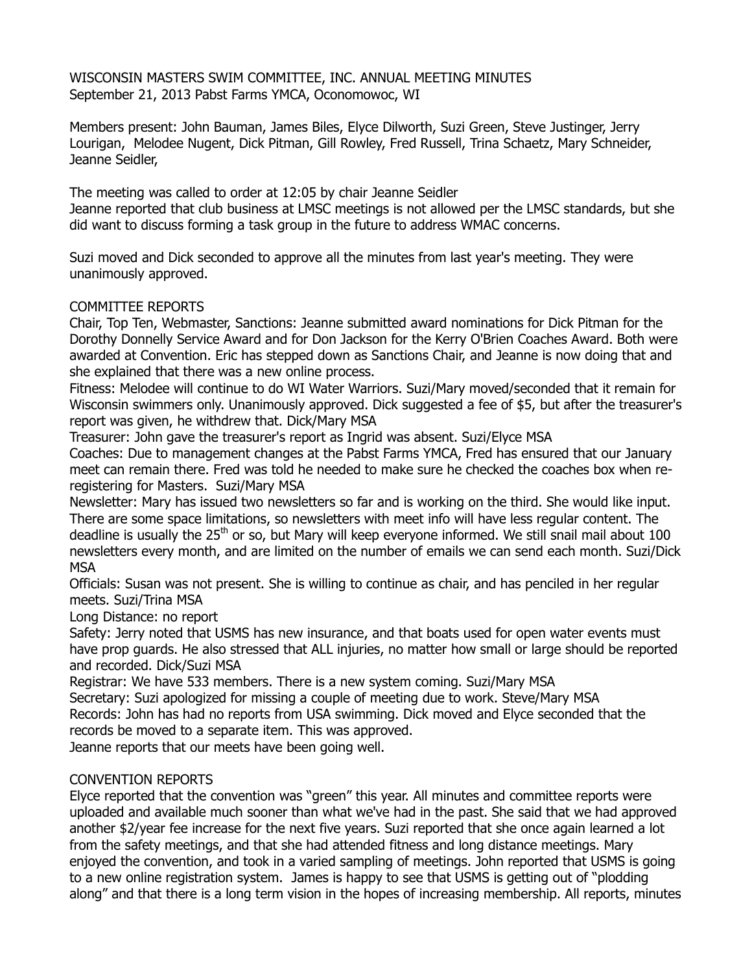WISCONSIN MASTERS SWIM COMMITTEE, INC. ANNUAL MEETING MINUTES September 21, 2013 Pabst Farms YMCA, Oconomowoc, WI

Members present: John Bauman, James Biles, Elyce Dilworth, Suzi Green, Steve Justinger, Jerry Lourigan, Melodee Nugent, Dick Pitman, Gill Rowley, Fred Russell, Trina Schaetz, Mary Schneider, Jeanne Seidler,

The meeting was called to order at 12:05 by chair Jeanne Seidler Jeanne reported that club business at LMSC meetings is not allowed per the LMSC standards, but she did want to discuss forming a task group in the future to address WMAC concerns.

Suzi moved and Dick seconded to approve all the minutes from last year's meeting. They were unanimously approved.

## COMMITTEE REPORTS

Chair, Top Ten, Webmaster, Sanctions: Jeanne submitted award nominations for Dick Pitman for the Dorothy Donnelly Service Award and for Don Jackson for the Kerry O'Brien Coaches Award. Both were awarded at Convention. Eric has stepped down as Sanctions Chair, and Jeanne is now doing that and she explained that there was a new online process.

Fitness: Melodee will continue to do WI Water Warriors. Suzi/Mary moved/seconded that it remain for Wisconsin swimmers only. Unanimously approved. Dick suggested a fee of \$5, but after the treasurer's report was given, he withdrew that. Dick/Mary MSA

Treasurer: John gave the treasurer's report as Ingrid was absent. Suzi/Elyce MSA

Coaches: Due to management changes at the Pabst Farms YMCA, Fred has ensured that our January meet can remain there. Fred was told he needed to make sure he checked the coaches box when reregistering for Masters. Suzi/Mary MSA

Newsletter: Mary has issued two newsletters so far and is working on the third. She would like input. There are some space limitations, so newsletters with meet info will have less regular content. The deadline is usually the 25<sup>th</sup> or so, but Mary will keep everyone informed. We still snail mail about 100 newsletters every month, and are limited on the number of emails we can send each month. Suzi/Dick **MSA** 

Officials: Susan was not present. She is willing to continue as chair, and has penciled in her regular meets. Suzi/Trina MSA

Long Distance: no report

Safety: Jerry noted that USMS has new insurance, and that boats used for open water events must have prop guards. He also stressed that ALL injuries, no matter how small or large should be reported and recorded. Dick/Suzi MSA

Registrar: We have 533 members. There is a new system coming. Suzi/Mary MSA

Secretary: Suzi apologized for missing a couple of meeting due to work. Steve/Mary MSA Records: John has had no reports from USA swimming. Dick moved and Elyce seconded that the records be moved to a separate item. This was approved.

Jeanne reports that our meets have been going well.

## CONVENTION REPORTS

Elyce reported that the convention was "green" this year. All minutes and committee reports were uploaded and available much sooner than what we've had in the past. She said that we had approved another \$2/year fee increase for the next five years. Suzi reported that she once again learned a lot from the safety meetings, and that she had attended fitness and long distance meetings. Mary enjoyed the convention, and took in a varied sampling of meetings. John reported that USMS is going to a new online registration system. James is happy to see that USMS is getting out of "plodding along" and that there is a long term vision in the hopes of increasing membership. All reports, minutes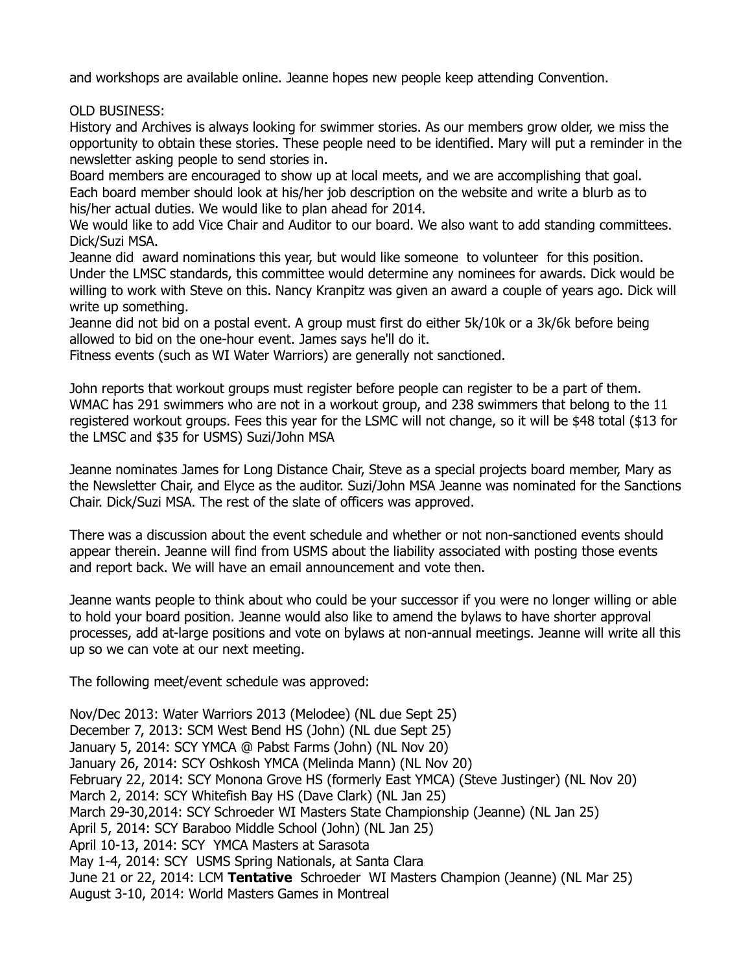and workshops are available online. Jeanne hopes new people keep attending Convention.

OLD BUSINESS:

History and Archives is always looking for swimmer stories. As our members grow older, we miss the opportunity to obtain these stories. These people need to be identified. Mary will put a reminder in the newsletter asking people to send stories in.

Board members are encouraged to show up at local meets, and we are accomplishing that goal. Each board member should look at his/her job description on the website and write a blurb as to his/her actual duties. We would like to plan ahead for 2014.

We would like to add Vice Chair and Auditor to our board. We also want to add standing committees. Dick/Suzi MSA.

Jeanne did award nominations this year, but would like someone to volunteer for this position. Under the LMSC standards, this committee would determine any nominees for awards. Dick would be willing to work with Steve on this. Nancy Kranpitz was given an award a couple of years ago. Dick will write up something.

Jeanne did not bid on a postal event. A group must first do either 5k/10k or a 3k/6k before being allowed to bid on the one-hour event. James says he'll do it.

Fitness events (such as WI Water Warriors) are generally not sanctioned.

John reports that workout groups must register before people can register to be a part of them. WMAC has 291 swimmers who are not in a workout group, and 238 swimmers that belong to the 11 registered workout groups. Fees this year for the LSMC will not change, so it will be \$48 total (\$13 for the LMSC and \$35 for USMS) Suzi/John MSA

Jeanne nominates James for Long Distance Chair, Steve as a special projects board member, Mary as the Newsletter Chair, and Elyce as the auditor. Suzi/John MSA Jeanne was nominated for the Sanctions Chair. Dick/Suzi MSA. The rest of the slate of officers was approved.

There was a discussion about the event schedule and whether or not non-sanctioned events should appear therein. Jeanne will find from USMS about the liability associated with posting those events and report back. We will have an email announcement and vote then.

Jeanne wants people to think about who could be your successor if you were no longer willing or able to hold your board position. Jeanne would also like to amend the bylaws to have shorter approval processes, add at-large positions and vote on bylaws at non-annual meetings. Jeanne will write all this up so we can vote at our next meeting.

The following meet/event schedule was approved:

Nov/Dec 2013: Water Warriors 2013 (Melodee) (NL due Sept 25) December 7, 2013: SCM West Bend HS (John) (NL due Sept 25) January 5, 2014: SCY YMCA @ Pabst Farms (John) (NL Nov 20) January 26, 2014: SCY Oshkosh YMCA (Melinda Mann) (NL Nov 20) February 22, 2014: SCY Monona Grove HS (formerly East YMCA) (Steve Justinger) (NL Nov 20) March 2, 2014: SCY Whitefish Bay HS (Dave Clark) (NL Jan 25) March 29-30,2014: SCY Schroeder WI Masters State Championship (Jeanne) (NL Jan 25) April 5, 2014: SCY Baraboo Middle School (John) (NL Jan 25) April 10-13, 2014: SCY YMCA Masters at Sarasota May 1-4, 2014: SCY USMS Spring Nationals, at Santa Clara June 21 or 22, 2014: LCM **Tentative** Schroeder WI Masters Champion (Jeanne) (NL Mar 25) August 3-10, 2014: World Masters Games in Montreal